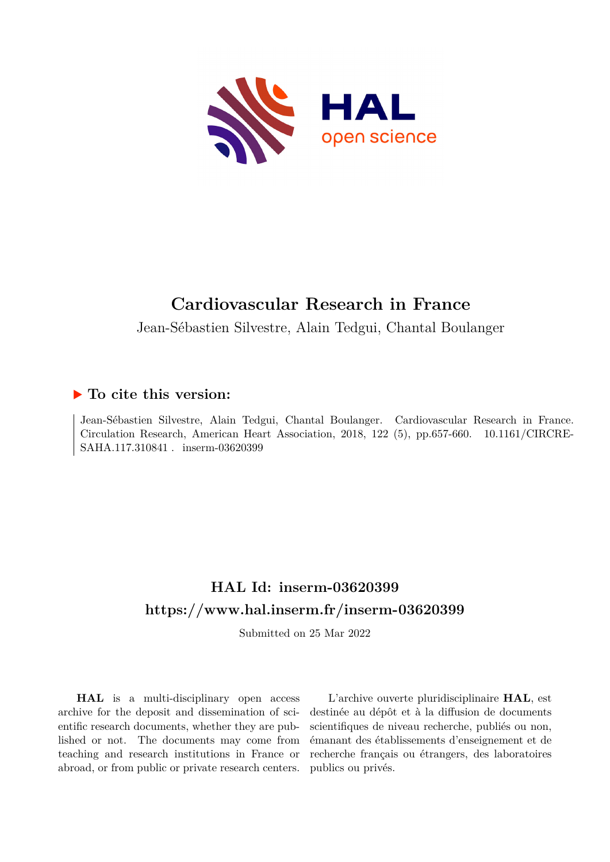

# **Cardiovascular Research in France**

Jean-Sébastien Silvestre, Alain Tedgui, Chantal Boulanger

# **To cite this version:**

Jean-Sébastien Silvestre, Alain Tedgui, Chantal Boulanger. Cardiovascular Research in France. Circulation Research, American Heart Association, 2018, 122 (5), pp.657-660. 10.1161/CIRCRE-SAHA.117.310841 . inserm-03620399

# **HAL Id: inserm-03620399 <https://www.hal.inserm.fr/inserm-03620399>**

Submitted on 25 Mar 2022

**HAL** is a multi-disciplinary open access archive for the deposit and dissemination of scientific research documents, whether they are published or not. The documents may come from teaching and research institutions in France or abroad, or from public or private research centers.

L'archive ouverte pluridisciplinaire **HAL**, est destinée au dépôt et à la diffusion de documents scientifiques de niveau recherche, publiés ou non, émanant des établissements d'enseignement et de recherche français ou étrangers, des laboratoires publics ou privés.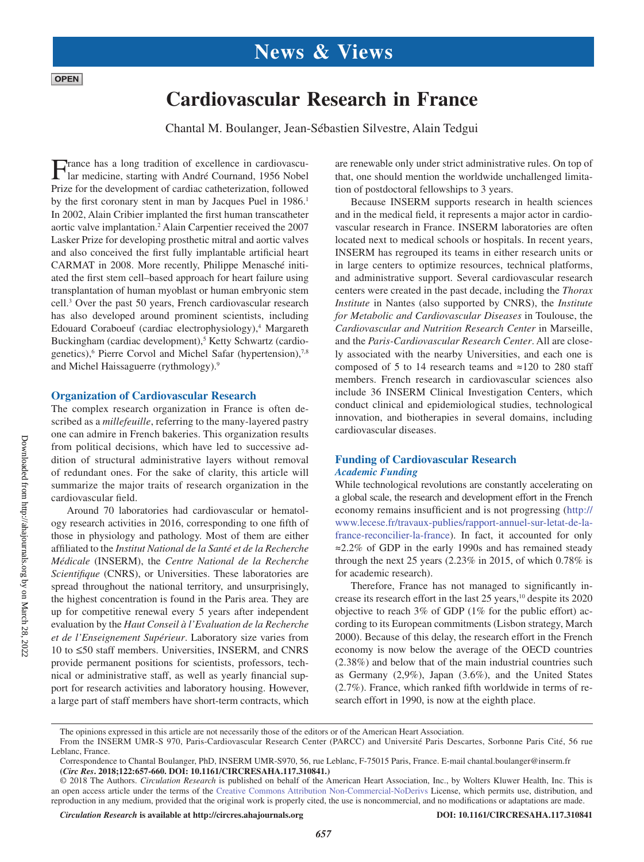# **Cardiovascular Research in France**

Chantal M. Boulanger, Jean-Sébastien Silvestre, Alain Tedgui

France has a long tradition of excellence in cardiovascu-lar medicine, starting with André Cournand, 1956 Nobel Prize for the development of cardiac catheterization, followed by the first coronary stent in man by Jacques Puel in 1986.<sup>1</sup> In 2002, Alain Cribier implanted the first human transcatheter aortic valve implantation.<sup>2</sup> Alain Carpentier received the 2007 Lasker Prize for developing prosthetic mitral and aortic valves and also conceived the first fully implantable artificial heart CARMAT in 2008. More recently, Philippe Menasché initiated the first stem cell–based approach for heart failure using transplantation of human myoblast or human embryonic stem cell.3 Over the past 50 years, French cardiovascular research has also developed around prominent scientists, including Edouard Coraboeuf (cardiac electrophysiology),<sup>4</sup> Margareth Buckingham (cardiac development),<sup>5</sup> Ketty Schwartz (cardiogenetics),<sup>6</sup> Pierre Corvol and Michel Safar (hypertension),<sup>7,8</sup> and Michel Haissaguerre (rythmology).9

### **Organization of Cardiovascular Research**

The complex research organization in France is often described as a *millefeuille*, referring to the many-layered pastry one can admire in French bakeries. This organization results from political decisions, which have led to successive addition of structural administrative layers without removal of redundant ones. For the sake of clarity, this article will summarize the major traits of research organization in the cardiovascular field.

Around 70 laboratories had cardiovascular or hematology research activities in 2016, corresponding to one fifth of those in physiology and pathology. Most of them are either affiliated to the *Institut National de la Santé et de la Recherche Médicale* (INSERM), the *Centre National de la Recherche Scientifique* (CNRS), or Universities. These laboratories are spread throughout the national territory, and unsurprisingly, the highest concentration is found in the Paris area. They are up for competitive renewal every 5 years after independent evaluation by the *Haut Conseil à l'Evaluation de la Recherche et de l'Enseignement Supérieur*. Laboratory size varies from 10 to ≤50 staff members. Universities, INSERM, and CNRS provide permanent positions for scientists, professors, technical or administrative staff, as well as yearly financial support for research activities and laboratory housing. However, a large part of staff members have short-term contracts, which

are renewable only under strict administrative rules. On top of that, one should mention the worldwide unchallenged limitation of postdoctoral fellowships to 3 years.

Because INSERM supports research in health sciences and in the medical field, it represents a major actor in cardiovascular research in France. INSERM laboratories are often located next to medical schools or hospitals. In recent years, INSERM has regrouped its teams in either research units or in large centers to optimize resources, technical platforms, and administrative support. Several cardiovascular research centers were created in the past decade, including the *Thorax Institute* in Nantes (also supported by CNRS), the *Institute for Metabolic and Cardiovascular Diseases* in Toulouse, the *Cardiovascular and Nutrition Research Center* in Marseille, and the *Paris-Cardiovascular Research Center*. All are closely associated with the nearby Universities, and each one is composed of 5 to 14 research teams and ≈120 to 280 staff members. French research in cardiovascular sciences also include 36 INSERM Clinical Investigation Centers, which conduct clinical and epidemiological studies, technological innovation, and biotherapies in several domains, including cardiovascular diseases.

## **Funding of Cardiovascular Research** *Academic Funding*

While technological revolutions are constantly accelerating on a global scale, the research and development effort in the French economy remains insufficient and is not progressing (http:// www.lecese.fr/travaux-publies/rapport-annuel-sur-letat-de-lafrance-reconcilier-la-france). In fact, it accounted for only ≈2.2% of GDP in the early 1990s and has remained steady through the next 25 years (2.23% in 2015, of which 0.78% is for academic research).

Therefore, France has not managed to significantly increase its research effort in the last 25 years,<sup>10</sup> despite its 2020 objective to reach 3% of GDP (1% for the public effort) according to its European commitments (Lisbon strategy, March 2000). Because of this delay, the research effort in the French economy is now below the average of the OECD countries (2.38%) and below that of the main industrial countries such as Germany (2,9%), Japan (3.6%), and the United States (2.7%). France, which ranked fifth worldwide in terms of research effort in 1990, is now at the eighth place.

*657*

**OPEN** 

The opinions expressed in this article are not necessarily those of the editors or of the American Heart Association.

From the INSERM UMR-S 970, Paris-Cardiovascular Research Center (PARCC) and Université Paris Descartes, Sorbonne Paris Cité, 56 rue Leblanc, France.

Correspondence to Chantal Boulanger, PhD, INSERM UMR-S970, 56, rue Leblanc, F-75015 Paris, France. E-mail [chantal.boulanger@inserm.fr](mailto:chantal.boulanger@inserm.fr) **(***Circ Res***. 2018;122:657-660. DOI: 10.1161/CIRCRESAHA.117.310841.)**

<sup>© 2018</sup> The Authors. *Circulation Research* is published on behalf of the American Heart Association, Inc., by Wolters Kluwer Health, Inc. This is an open access article under the terms of the Creative Commons Attribution Non-Commercial-NoDerivs License, which permits use, distribution, and reproduction in any medium, provided that the original work is properly cited, the use is noncommercial, and no modifications or adaptations are made.

*Circulation Research* **is available at http://circres.ahajournals.org DOI: 10.1161/CIRCRESAHA.117.310841**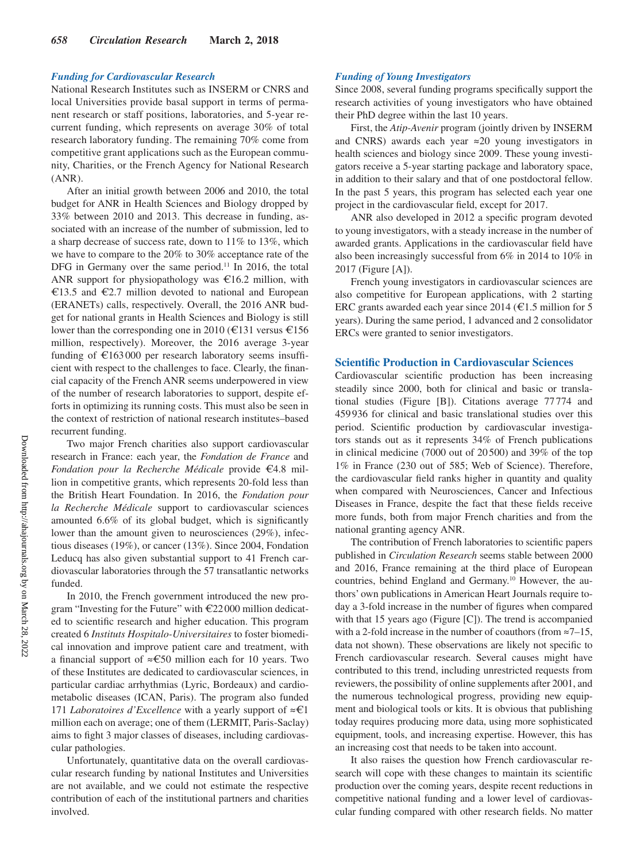#### *Funding for Cardiovascular Research*

National Research Institutes such as INSERM or CNRS and local Universities provide basal support in terms of permanent research or staff positions, laboratories, and 5-year recurrent funding, which represents on average 30% of total research laboratory funding. The remaining 70% come from competitive grant applications such as the European community, Charities, or the French Agency for National Research (ANR).

After an initial growth between 2006 and 2010, the total budget for ANR in Health Sciences and Biology dropped by 33% between 2010 and 2013. This decrease in funding, associated with an increase of the number of submission, led to a sharp decrease of success rate, down to 11% to 13%, which we have to compare to the 20% to 30% acceptance rate of the DFG in Germany over the same period.<sup>11</sup> In 2016, the total ANR support for physiopathology was €16.2 million, with €13.5 and €2.7 million devoted to national and European (ERANETs) calls, respectively. Overall, the 2016 ANR budget for national grants in Health Sciences and Biology is still lower than the corresponding one in 2010 (€131 versus €156 million, respectively). Moreover, the 2016 average 3-year funding of  $\epsilon$ 163000 per research laboratory seems insufficient with respect to the challenges to face. Clearly, the financial capacity of the French ANR seems underpowered in view of the number of research laboratories to support, despite efforts in optimizing its running costs. This must also be seen in the context of restriction of national research institutes–based recurrent funding.

Two major French charities also support cardiovascular research in France: each year, the *Fondation de France* and *Fondation pour la Recherche Médicale* provide €4.8 million in competitive grants, which represents 20-fold less than the British Heart Foundation. In 2016, the *Fondation pour la Recherche Médicale* support to cardiovascular sciences amounted 6.6% of its global budget, which is significantly lower than the amount given to neurosciences (29%), infectious diseases (19%), or cancer (13%). Since 2004, Fondation Leducq has also given substantial support to 41 French cardiovascular laboratories through the 57 transatlantic networks funded.

In 2010, the French government introduced the new program "Investing for the Future" with €22 000 million dedicated to scientific research and higher education. This program created 6 *Instituts Hospitalo-Universitaires* to foster biomedical innovation and improve patient care and treatment, with a financial support of ≈€50 million each for 10 years. Two of these Institutes are dedicated to cardiovascular sciences, in particular cardiac arrhythmias (Lyric, Bordeaux) and cardiometabolic diseases (ICAN, Paris). The program also funded 171 *Laboratoires d'Excellence* with a yearly support of ≈€1 million each on average; one of them (LERMIT, Paris-Saclay) aims to fight 3 major classes of diseases, including cardiovascular pathologies.

Unfortunately, quantitative data on the overall cardiovascular research funding by national Institutes and Universities are not available, and we could not estimate the respective contribution of each of the institutional partners and charities involved.

#### *Funding of Young Investigators*

Since 2008, several funding programs specifically support the research activities of young investigators who have obtained their PhD degree within the last 10 years.

First, the *Atip-Avenir* program (jointly driven by INSERM and CNRS) awards each year ≈20 young investigators in health sciences and biology since 2009. These young investigators receive a 5-year starting package and laboratory space, in addition to their salary and that of one postdoctoral fellow. In the past 5 years, this program has selected each year one project in the cardiovascular field, except for 2017.

ANR also developed in 2012 a specific program devoted to young investigators, with a steady increase in the number of awarded grants. Applications in the cardiovascular field have also been increasingly successful from 6% in 2014 to 10% in 2017 (Figure [A]).

French young investigators in cardiovascular sciences are also competitive for European applications, with 2 starting ERC grants awarded each year since 2014 ( $\epsilon$ 1.5 million for 5 years). During the same period, 1 advanced and 2 consolidator ERCs were granted to senior investigators.

### **Scientific Production in Cardiovascular Sciences**

Cardiovascular scientific production has been increasing steadily since 2000, both for clinical and basic or translational studies (Figure [B]). Citations average 77774 and 459936 for clinical and basic translational studies over this period. Scientific production by cardiovascular investigators stands out as it represents 34% of French publications in clinical medicine (7000 out of 20500) and 39% of the top 1% in France (230 out of 585; Web of Science). Therefore, the cardiovascular field ranks higher in quantity and quality when compared with Neurosciences, Cancer and Infectious Diseases in France, despite the fact that these fields receive more funds, both from major French charities and from the national granting agency ANR.

The contribution of French laboratories to scientific papers published in *Circulation Research* seems stable between 2000 and 2016, France remaining at the third place of European countries, behind England and Germany.10 However, the authors' own publications in American Heart Journals require today a 3-fold increase in the number of figures when compared with that 15 years ago (Figure [C]). The trend is accompanied with a 2-fold increase in the number of coauthors (from ≈7–15, data not shown). These observations are likely not specific to French cardiovascular research. Several causes might have contributed to this trend, including unrestricted requests from reviewers, the possibility of online supplements after 2001, and the numerous technological progress, providing new equipment and biological tools or kits. It is obvious that publishing today requires producing more data, using more sophisticated equipment, tools, and increasing expertise. However, this has an increasing cost that needs to be taken into account.

It also raises the question how French cardiovascular research will cope with these changes to maintain its scientific production over the coming years, despite recent reductions in competitive national funding and a lower level of cardiovascular funding compared with other research fields. No matter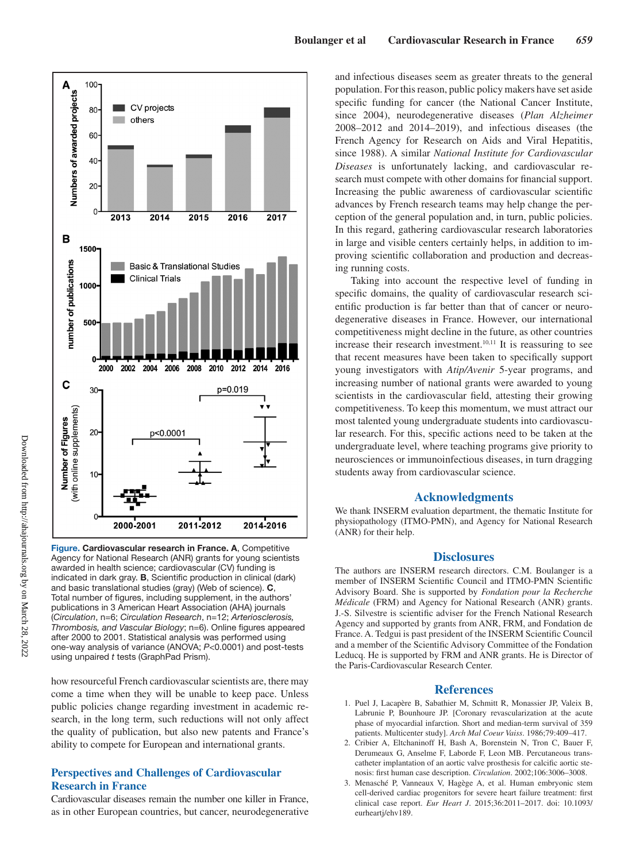

Figure. Cardiovascular research in France. A, Competitive Agency for National Research (ANR) grants for young scientists awarded in health science; cardiovascular (CV) funding is indicated in dark gray. B, Scientific production in clinical (dark) and basic translational studies (gray) (Web of science). C, Total number of figures, including supplement, in the authors' publications in 3 American Heart Association (AHA) journals (*Circulation*, n=6; *Circulation Research*, n=12; *Arteriosclerosis, Thrombosis, and Vascular Biology*; n=6). Online figures appeared after 2000 to 2001. Statistical analysis was performed using one-way analysis of variance (ANOVA; *P*<0.0001) and post-tests using unpaired *t* tests (GraphPad Prism).

how resourceful French cardiovascular scientists are, there may come a time when they will be unable to keep pace. Unless public policies change regarding investment in academic research, in the long term, such reductions will not only affect the quality of publication, but also new patents and France's ability to compete for European and international grants.

# **Perspectives and Challenges of Cardiovascular Research in France**

Cardiovascular diseases remain the number one killer in France, as in other European countries, but cancer, neurodegenerative and infectious diseases seem as greater threats to the general population. For this reason, public policy makers have set aside specific funding for cancer (the National Cancer Institute, since 2004), neurodegenerative diseases (*Plan Alzheimer* 2008–2012 and 2014–2019), and infectious diseases (the French Agency for Research on Aids and Viral Hepatitis, since 1988). A similar *National Institute for Cardiovascular Diseases* is unfortunately lacking, and cardiovascular research must compete with other domains for financial support. Increasing the public awareness of cardiovascular scientific advances by French research teams may help change the perception of the general population and, in turn, public policies. In this regard, gathering cardiovascular research laboratories in large and visible centers certainly helps, in addition to improving scientific collaboration and production and decreasing running costs.

Taking into account the respective level of funding in specific domains, the quality of cardiovascular research scientific production is far better than that of cancer or neurodegenerative diseases in France. However, our international competitiveness might decline in the future, as other countries increase their research investment. $10,11$  It is reassuring to see that recent measures have been taken to specifically support young investigators with *Atip/Avenir* 5-year programs, and increasing number of national grants were awarded to young scientists in the cardiovascular field, attesting their growing competitiveness. To keep this momentum, we must attract our most talented young undergraduate students into cardiovascular research. For this, specific actions need to be taken at the undergraduate level, where teaching programs give priority to neurosciences or immunoinfectious diseases, in turn dragging students away from cardiovascular science.

### **Acknowledgments**

We thank INSERM evaluation department, the thematic Institute for physiopathology (ITMO-PMN), and Agency for National Research (ANR) for their help.

### **Disclosures**

The authors are INSERM research directors. C.M. Boulanger is a member of INSERM Scientific Council and ITMO-PMN Scientific Advisory Board. She is supported by *Fondation pour la Recherche Médicale* (FRM) and Agency for National Research (ANR) grants. J.-S. Silvestre is scientific adviser for the French National Research Agency and supported by grants from ANR, FRM, and Fondation de France. A. Tedgui is past president of the INSERM Scientific Council and a member of the Scientific Advisory Committee of the Fondation Leducq. He is supported by FRM and ANR grants. He is Director of the Paris-Cardiovascular Research Center.

#### **References**

- 1. Puel J, Lacapère B, Sabathier M, Schmitt R, Monassier JP, Valeix B, Labrunie P, Bounhoure JP. [Coronary revascularization at the acute phase of myocardial infarction. Short and median-term survival of 359 patients. Multicenter study]. *Arch Mal Coeur Vaiss*. 1986;79:409–417.
- 2. Cribier A, Eltchaninoff H, Bash A, Borenstein N, Tron C, Bauer F, Derumeaux G, Anselme F, Laborde F, Leon MB. Percutaneous transcatheter implantation of an aortic valve prosthesis for calcific aortic stenosis: first human case description. *Circulation*. 2002;106:3006–3008.
- 3. Menasché P, Vanneaux V, Hagège A, et al. Human embryonic stem cell-derived cardiac progenitors for severe heart failure treatment: first clinical case report. *Eur Heart J*. 2015;36:2011–2017. doi: 10.1093/ eurheartj/ehv189.